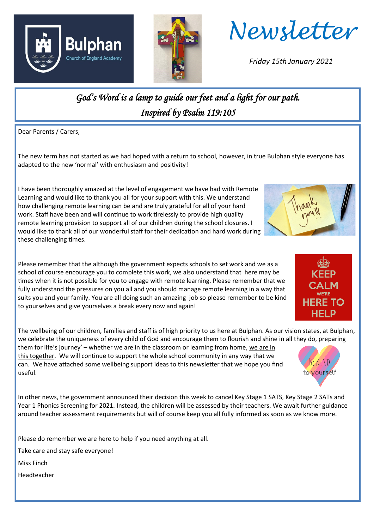



*Newsletter*

*Friday 15th January 2021*

*God's Word is a lamp to guide our feet and a light for our path. Inspired by Psalm 119:105* 

Dear Parents / Carers,

The new term has not started as we had hoped with a return to school, however, in true Bulphan style everyone has adapted to the new 'normal' with enthusiasm and positivity!

I have been thoroughly amazed at the level of engagement we have had with Remote Learning and would like to thank you all for your support with this. We understand how challenging remote learning can be and are truly grateful for all of your hard work. Staff have been and will continue to work tirelessly to provide high quality remote learning provision to support all of our children during the school closures. I would like to thank all of our wonderful staff for their dedication and hard work during these challenging times.

Please remember that the although the government expects schools to set work and we as a school of course encourage you to complete this work, we also understand that here may be times when it is not possible for you to engage with remote learning. Please remember that we fully understand the pressures on you all and you should manage remote learning in a way that suits you and your family. You are all doing such an amazing job so please remember to be kind to yourselves and give yourselves a break every now and again!

The wellbeing of our children, families and staff is of high priority to us here at Bulphan. As our vision states, at Bulphan, we celebrate the uniqueness of every child of God and encourage them to flourish and shine in all they do, preparing

them for life's journey' – whether we are in the classroom or learning from home, we are in this together. We will continue to support the whole school community in any way that we can. We have attached some wellbeing support ideas to this newsletter that we hope you find useful.

In other news, the government announced their decision this week to cancel Key Stage 1 SATS, Key Stage 2 SATs and Year 1 Phonics Screening for 2021. Instead, the children will be assessed by their teachers. We await further guidance around teacher assessment requirements but will of course keep you all fully informed as soon as we know more.

Please do remember we are here to help if you need anything at all.

Take care and stay safe everyone!

Miss Finch

Headteacher





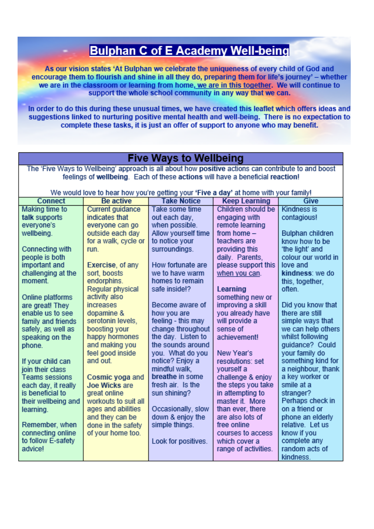## **Bulphan C of E Academy Well-being**

As our vision states 'At Bulphan we celebrate the uniqueness of every child of God and encourage them to flourish and shine in all they do, preparing them for life's journey' - whether we are in the classroom or learning from home, we are in this together. We will continue to support the whole school community in any way that we can.

In order to do this during these unusual times, we have created this leaflet which offers ideas and suggestions linked to nurturing positive mental health and well-being. There is no expectation to complete these tasks, it is just an offer of support to anyone who may benefit.

| <b>Five Ways to Wellbeing</b>                                                                       |                                       |                                    |                                      |                                    |
|-----------------------------------------------------------------------------------------------------|---------------------------------------|------------------------------------|--------------------------------------|------------------------------------|
| The 'Five Ways to Wellbeing' approach is all about how positive actions can contribute to and boost |                                       |                                    |                                      |                                    |
| feelings of wellbeing. Each of these actions will have a beneficial reaction!                       |                                       |                                    |                                      |                                    |
| We would love to hear how you're getting your 'Five a day' at home with your family!                |                                       |                                    |                                      |                                    |
| <b>Connect</b>                                                                                      | <b>Be active</b>                      | <b>Take Notice</b>                 | <b>Keep Learning</b>                 | Give                               |
| <b>Making time to</b>                                                                               | <b>Current guidance</b>               | Take some time                     | Children should be                   | <b>Kindness is</b>                 |
| talk supports                                                                                       | indicates that                        | out each day,                      | engaging with                        | contagious!                        |
| everyone's                                                                                          | everyone can go                       | when possible.                     | remote learning                      |                                    |
| wellbeing.                                                                                          | outside each day                      | Allow yourself time                | from home $-$                        | Bulphan children                   |
|                                                                                                     | for a walk, cycle or                  | to notice your                     | teachers are                         | know how to be                     |
| Connecting with                                                                                     | run.                                  | surroundings.                      | providing this                       | 'the light' and                    |
| people is both                                                                                      |                                       |                                    | daily. Parents,                      | colour our world in                |
| important and                                                                                       | Exercise, of any                      | How fortunate are                  | please support this                  | love and                           |
| challenging at the                                                                                  | sort, boosts                          | we to have warm                    | when you can.                        | kindness: we do                    |
| moment                                                                                              | endorphins.                           | homes to remain                    |                                      | this, together,                    |
|                                                                                                     | Regular physical                      | safe inside!?                      | Learning                             | often.                             |
| Online platforms                                                                                    | activity also                         |                                    | something new or                     |                                    |
| are great! They                                                                                     | increases                             | Become aware of                    | improving a skill                    | Did you know that                  |
| enable us to see                                                                                    | dopamine &                            | how you are                        | you already have                     | there are still                    |
| family and friends                                                                                  | serotonin levels.                     | feeling - this may                 | will provide a                       | simple ways that                   |
| safely, as well as                                                                                  | boosting your                         | change throughout                  | sense of                             | we can help others                 |
| speaking on the                                                                                     | happy hormones                        | the day. Listen to                 | achievement!                         | whilst following                   |
| phone.                                                                                              | and making you                        | the sounds around                  |                                      | guidance? Could                    |
|                                                                                                     | feel good inside                      | you. What do you                   | New Year's                           | your family do                     |
| If your child can                                                                                   | and out.                              | notice? Enjoy a                    | resolutions: set                     | something kind for                 |
| join their class                                                                                    |                                       | mindful walk.                      | yourself a                           | a neighbour, thank                 |
| <b>Teams sessions</b>                                                                               | Cosmic yoga and                       | breathe in some                    | challenge & enjoy                    | a key worker or                    |
| each day, it really                                                                                 | <b>Joe Wicks are</b>                  | fresh air. Is the                  | the steps you take                   | smile at a                         |
| is beneficial to                                                                                    | great online                          | sun shining?                       | in attempting to                     | stranger?                          |
| their wellbeing and                                                                                 | workouts to suit all                  |                                    | master it. More                      | Perhaps check in<br>on a friend or |
| learning.                                                                                           | ages and abilities                    | Occasionally, slow                 | than ever, there<br>are also lots of | phone an elderly                   |
| Remember, when                                                                                      | and they can be<br>done in the safety | down & enjoy the<br>simple things. | free online                          | relative. Let us                   |
| connecting online                                                                                   | of your home too.                     |                                    | courses to access                    | know if you                        |
| to follow E-safety                                                                                  |                                       | Look for positives.                | which cover a                        | complete any                       |
| advice!                                                                                             |                                       |                                    | range of activities.                 | random acts of                     |
|                                                                                                     |                                       |                                    |                                      | kindness.                          |
|                                                                                                     |                                       |                                    |                                      |                                    |